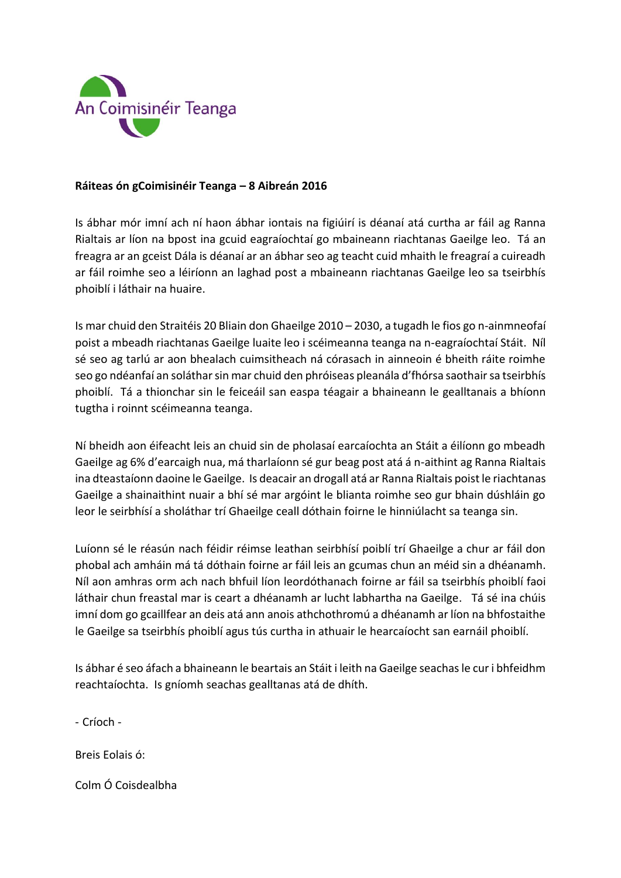

## **Ráiteas ón gCoimisinéir Teanga – 8 Aibreán 2016**

Is ábhar mór imní ach ní haon ábhar iontais na figiúirí is déanaí atá curtha ar fáil ag Ranna Rialtais ar líon na bpost ina gcuid eagraíochtaí go mbaineann riachtanas Gaeilge leo. Tá an freagra ar an gceist Dála is déanaí ar an ábhar seo ag teacht cuid mhaith le freagraí a cuireadh ar fáil roimhe seo a léiríonn an laghad post a mbaineann riachtanas Gaeilge leo sa tseirbhís phoiblí i láthair na huaire.

Is mar chuid den Straitéis 20 Bliain don Ghaeilge 2010 – 2030, a tugadh le fios go n-ainmneofaí poist a mbeadh riachtanas Gaeilge luaite leo i scéimeanna teanga na n-eagraíochtaí Stáit. Níl sé seo ag tarlú ar aon bhealach cuimsitheach ná córasach in ainneoin é bheith ráite roimhe seo go ndéanfaí an soláthar sin mar chuid den phróiseas pleanála d'fhórsa saothair sa tseirbhís phoiblí. Tá a thionchar sin le feiceáil san easpa téagair a bhaineann le gealltanais a bhíonn tugtha i roinnt scéimeanna teanga.

Ní bheidh aon éifeacht leis an chuid sin de pholasaí earcaíochta an Stáit a éilíonn go mbeadh Gaeilge ag 6% d'earcaigh nua, má tharlaíonn sé gur beag post atá á n-aithint ag Ranna Rialtais ina dteastaíonn daoine le Gaeilge. Is deacair an drogall atá ar Ranna Rialtais poist le riachtanas Gaeilge a shainaithint nuair a bhí sé mar argóint le blianta roimhe seo gur bhain dúshláin go leor le seirbhísí a sholáthar trí Ghaeilge ceall dóthain foirne le hinniúlacht sa teanga sin.

Luíonn sé le réasún nach féidir réimse leathan seirbhísí poiblí trí Ghaeilge a chur ar fáil don phobal ach amháin má tá dóthain foirne ar fáil leis an gcumas chun an méid sin a dhéanamh. Níl aon amhras orm ach nach bhfuil líon leordóthanach foirne ar fáil sa tseirbhís phoiblí faoi láthair chun freastal mar is ceart a dhéanamh ar lucht labhartha na Gaeilge. Tá sé ina chúis imní dom go gcaillfear an deis atá ann anois athchothromú a dhéanamh ar líon na bhfostaithe le Gaeilge sa tseirbhís phoiblí agus tús curtha in athuair le hearcaíocht san earnáil phoiblí.

Is ábhar é seo áfach a bhaineann le beartais an Stáit i leith na Gaeilge seachas le cur i bhfeidhm reachtaíochta. Is gníomh seachas gealltanas atá de dhíth.

- Críoch -

Breis Eolais ó:

Colm Ó Coisdealbha